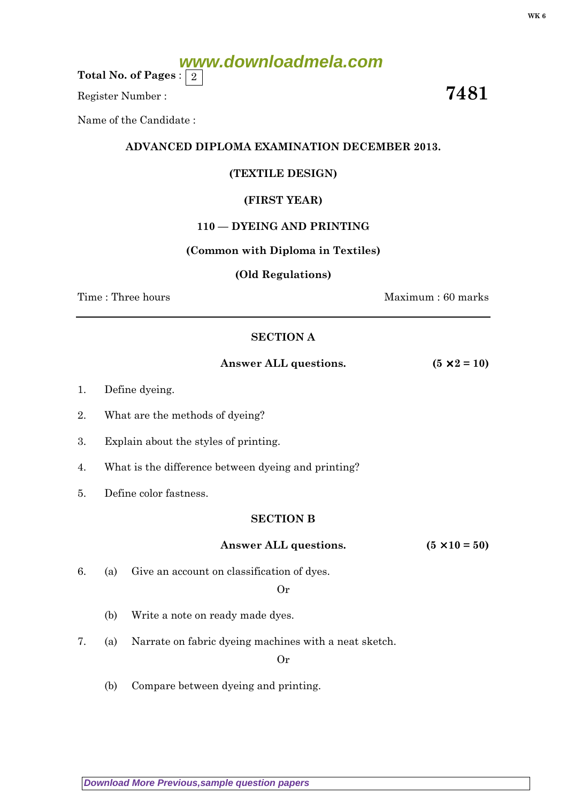# **www.downloadmela.com**

Total No. of Pages :  $\mid 2 \rangle$ 

Register Number :  $\overline{\hspace{1em}}$  7481

Name of the Candidate :

## ADVANCED DIPLOMA EXAMINATION DECEMBER 2013.

## (TEXTILE DESIGN)

## (FIRST YEAR)

## 110 — DYEING AND PRINTING

#### (Common with Diploma in Textiles)

#### (Old Regulations)

Time : Three hours and the set of the set of the Maximum : 60 marks

## SECTION A

Answer ALL questions.  $(5 \times 2 = 10)$ 

- 1. Define dyeing.
- 2. What are the methods of dyeing?
- 3. Explain about the styles of printing.
- 4. What is the difference between dyeing and printing?
- 5. Define color fastness.

## SECTION B

#### Answer ALL questions.  $(5 \times 10 = 50)$

6. (a) Give an account on classification of dyes.

Or

- (b) Write a note on ready made dyes.
- 7. (a) Narrate on fabric dyeing machines with a neat sketch.

Or

(b) Compare between dyeing and printing.